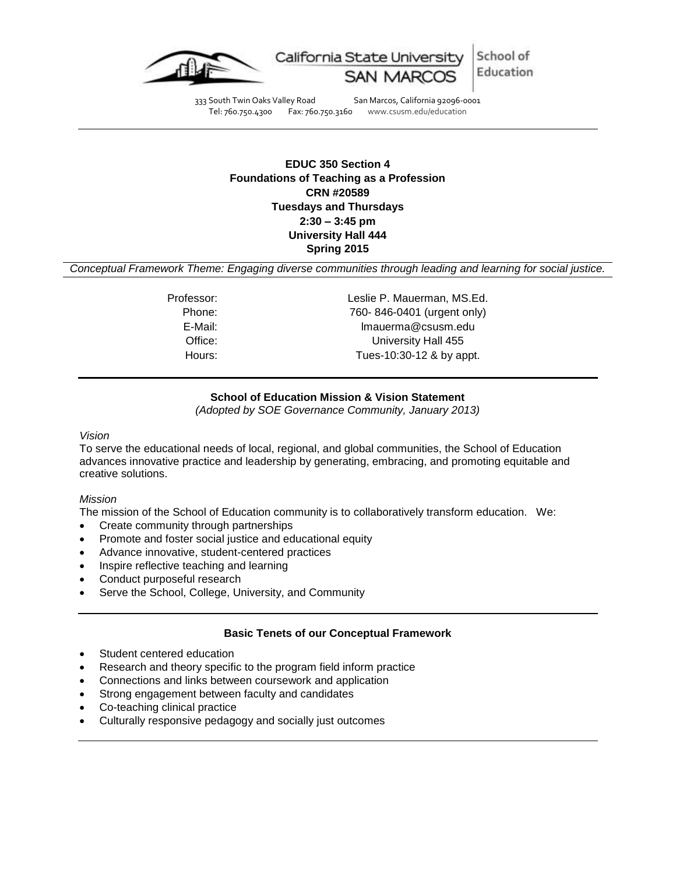

333 South Twin Oaks Valley Road San Marcos, California 92096-0001<br>Tel: 760.750.4300 Fax: 760.750.3160 www.csusm.edu/education

Fax: 760.750.3160 www.csusm.edu/education

# **EDUC 350 Section 4 Foundations of Teaching as a Profession CRN #20589 Tuesdays and Thursdays 2:30 – 3:45 pm University Hall 444 Spring 2015**

*Conceptual Framework Theme: Engaging diverse communities through leading and learning for social justice.*

Professor: Leslie P. Mauerman, MS.Ed. Phone: 760- 846-0401 (urgent only) E-Mail: lmauerma@csusm.edu Office: University Hall 455 Hours: Tues-10:30-12 & by appt.

## **School of Education Mission & Vision Statement**

*(Adopted by SOE Governance Community, January 2013)*

## *Vision*

To serve the educational needs of local, regional, and global communities, the School of Education advances innovative practice and leadership by generating, embracing, and promoting equitable and creative solutions.

## *Mission*

The mission of the School of Education community is to collaboratively transform education. We:

- Create community through partnerships
- Promote and foster social justice and educational equity
- Advance innovative, student-centered practices
- Inspire reflective teaching and learning
- Conduct purposeful research
- Serve the School, College, University, and Community

# **Basic Tenets of our Conceptual Framework**

- Student centered education
- Research and theory specific to the program field inform practice
- Connections and links between coursework and application
- Strong engagement between faculty and candidates
- Co-teaching clinical practice
- Culturally responsive pedagogy and socially just outcomes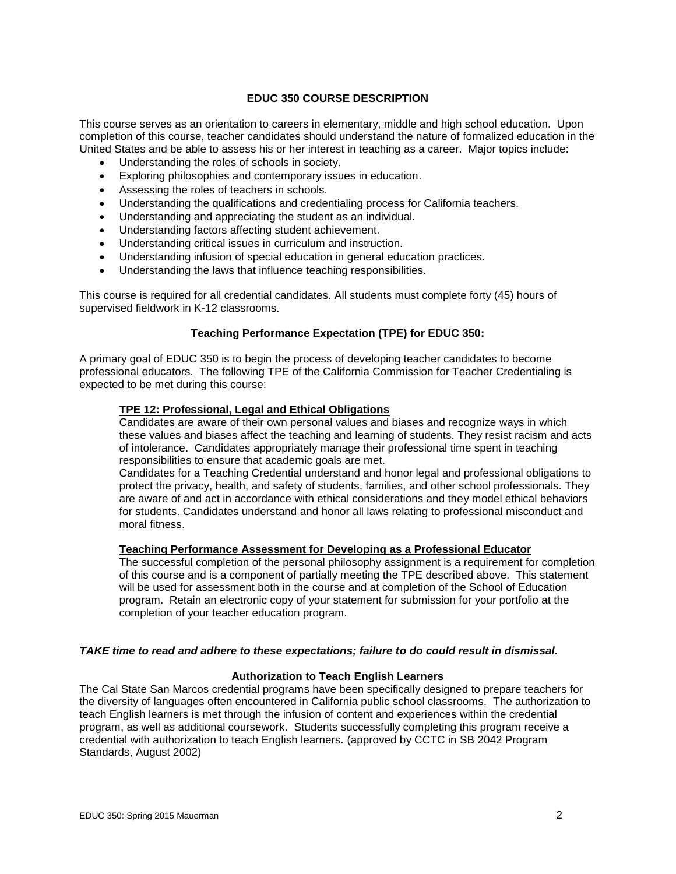## **EDUC 350 COURSE DESCRIPTION**

This course serves as an orientation to careers in elementary, middle and high school education. Upon completion of this course, teacher candidates should understand the nature of formalized education in the United States and be able to assess his or her interest in teaching as a career. Major topics include:

- Understanding the roles of schools in society.
- Exploring philosophies and contemporary issues in education.
- Assessing the roles of teachers in schools.
- Understanding the qualifications and credentialing process for California teachers.
- Understanding and appreciating the student as an individual.
- Understanding factors affecting student achievement.
- Understanding critical issues in curriculum and instruction.
- Understanding infusion of special education in general education practices.
- Understanding the laws that influence teaching responsibilities.

This course is required for all credential candidates. All students must complete forty (45) hours of supervised fieldwork in K-12 classrooms.

# **Teaching Performance Expectation (TPE) for EDUC 350:**

A primary goal of EDUC 350 is to begin the process of developing teacher candidates to become professional educators. The following TPE of the California Commission for Teacher Credentialing is expected to be met during this course:

## **TPE 12: Professional, Legal and Ethical Obligations**

Candidates are aware of their own personal values and biases and recognize ways in which these values and biases affect the teaching and learning of students. They resist racism and acts of intolerance. Candidates appropriately manage their professional time spent in teaching responsibilities to ensure that academic goals are met.

Candidates for a Teaching Credential understand and honor legal and professional obligations to protect the privacy, health, and safety of students, families, and other school professionals. They are aware of and act in accordance with ethical considerations and they model ethical behaviors for students. Candidates understand and honor all laws relating to professional misconduct and moral fitness.

## **Teaching Performance Assessment for Developing as a Professional Educator**

The successful completion of the personal philosophy assignment is a requirement for completion of this course and is a component of partially meeting the TPE described above. This statement will be used for assessment both in the course and at completion of the School of Education program. Retain an electronic copy of your statement for submission for your portfolio at the completion of your teacher education program.

## *TAKE time to read and adhere to these expectations; failure to do could result in dismissal.*

## **Authorization to Teach English Learners**

The Cal State San Marcos credential programs have been specifically designed to prepare teachers for the diversity of languages often encountered in California public school classrooms. The authorization to teach English learners is met through the infusion of content and experiences within the credential program, as well as additional coursework. Students successfully completing this program receive a credential with authorization to teach English learners. (approved by CCTC in SB 2042 Program Standards, August 2002)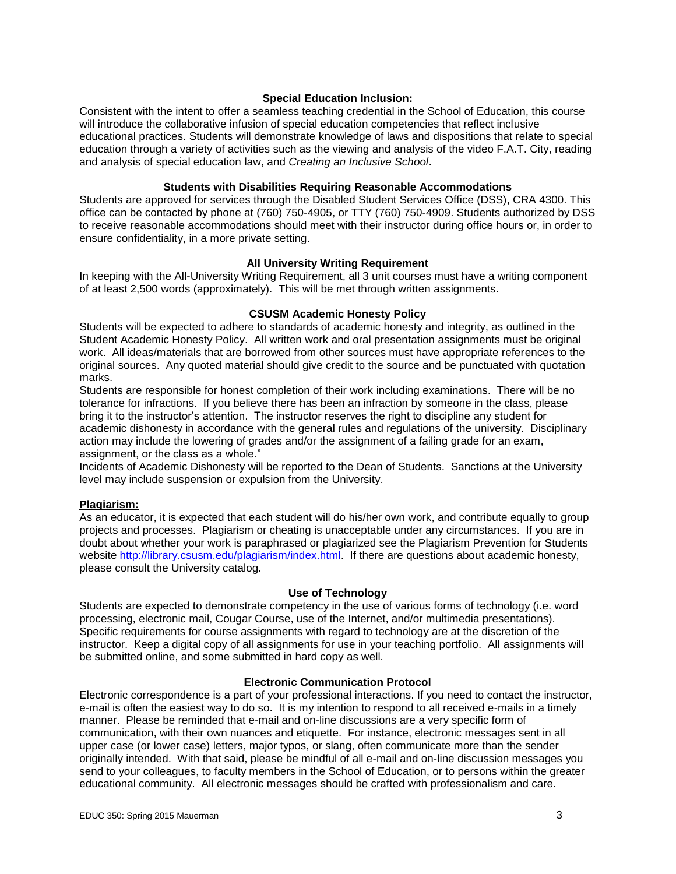## **Special Education Inclusion:**

Consistent with the intent to offer a seamless teaching credential in the School of Education, this course will introduce the collaborative infusion of special education competencies that reflect inclusive educational practices. Students will demonstrate knowledge of laws and dispositions that relate to special education through a variety of activities such as the viewing and analysis of the video F.A.T. City, reading and analysis of special education law, and *Creating an Inclusive School*.

#### **Students with Disabilities Requiring Reasonable Accommodations**

Students are approved for services through the Disabled Student Services Office (DSS), CRA 4300. This office can be contacted by phone at (760) 750-4905, or TTY (760) 750-4909. Students authorized by DSS to receive reasonable accommodations should meet with their instructor during office hours or, in order to ensure confidentiality, in a more private setting.

### **All University Writing Requirement**

In keeping with the All-University Writing Requirement, all 3 unit courses must have a writing component of at least 2,500 words (approximately). This will be met through written assignments.

### **CSUSM Academic Honesty Policy**

Students will be expected to adhere to standards of academic honesty and integrity, as outlined in the Student Academic Honesty Policy. All written work and oral presentation assignments must be original work. All ideas/materials that are borrowed from other sources must have appropriate references to the original sources. Any quoted material should give credit to the source and be punctuated with quotation marks.

Students are responsible for honest completion of their work including examinations. There will be no tolerance for infractions. If you believe there has been an infraction by someone in the class, please bring it to the instructor's attention. The instructor reserves the right to discipline any student for academic dishonesty in accordance with the general rules and regulations of the university. Disciplinary action may include the lowering of grades and/or the assignment of a failing grade for an exam, assignment, or the class as a whole."

Incidents of Academic Dishonesty will be reported to the Dean of Students. Sanctions at the University level may include suspension or expulsion from the University.

# **Plagiarism:**

As an educator, it is expected that each student will do his/her own work, and contribute equally to group projects and processes. Plagiarism or cheating is unacceptable under any circumstances. If you are in doubt about whether your work is paraphrased or plagiarized see the Plagiarism Prevention for Students website [http://library.csusm.edu/plagiarism/index.html.](http://library.csusm.edu/plagiarism/index.html) If there are questions about academic honesty, please consult the University catalog.

#### **Use of Technology**

Students are expected to demonstrate competency in the use of various forms of technology (i.e. word processing, electronic mail, Cougar Course, use of the Internet, and/or multimedia presentations). Specific requirements for course assignments with regard to technology are at the discretion of the instructor. Keep a digital copy of all assignments for use in your teaching portfolio. All assignments will be submitted online, and some submitted in hard copy as well.

## **Electronic Communication Protocol**

Electronic correspondence is a part of your professional interactions. If you need to contact the instructor, e-mail is often the easiest way to do so. It is my intention to respond to all received e-mails in a timely manner. Please be reminded that e-mail and on-line discussions are a very specific form of communication, with their own nuances and etiquette. For instance, electronic messages sent in all upper case (or lower case) letters, major typos, or slang, often communicate more than the sender originally intended. With that said, please be mindful of all e-mail and on-line discussion messages you send to your colleagues, to faculty members in the School of Education, or to persons within the greater educational community. All electronic messages should be crafted with professionalism and care.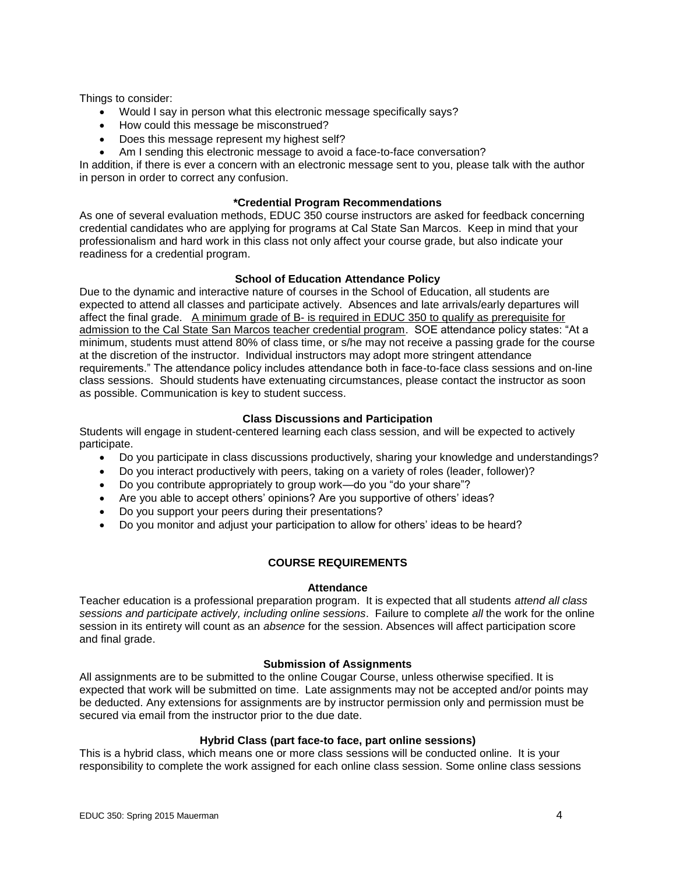Things to consider:

- Would I say in person what this electronic message specifically says?
- How could this message be misconstrued?
- Does this message represent my highest self?
- Am I sending this electronic message to avoid a face-to-face conversation?

In addition, if there is ever a concern with an electronic message sent to you, please talk with the author in person in order to correct any confusion.

## **\*Credential Program Recommendations**

As one of several evaluation methods, EDUC 350 course instructors are asked for feedback concerning credential candidates who are applying for programs at Cal State San Marcos. Keep in mind that your professionalism and hard work in this class not only affect your course grade, but also indicate your readiness for a credential program.

## **School of Education Attendance Policy**

Due to the dynamic and interactive nature of courses in the School of Education, all students are expected to attend all classes and participate actively. Absences and late arrivals/early departures will affect the final grade. A minimum grade of B- is required in EDUC 350 to qualify as prerequisite for admission to the Cal State San Marcos teacher credential program. SOE attendance policy states: "At a minimum, students must attend 80% of class time, or s/he may not receive a passing grade for the course at the discretion of the instructor. Individual instructors may adopt more stringent attendance requirements." The attendance policy includes attendance both in face-to-face class sessions and on-line class sessions. Should students have extenuating circumstances, please contact the instructor as soon as possible. Communication is key to student success.

## **Class Discussions and Participation**

Students will engage in student-centered learning each class session, and will be expected to actively participate.

- Do you participate in class discussions productively, sharing your knowledge and understandings?
- Do you interact productively with peers, taking on a variety of roles (leader, follower)?
- Do you contribute appropriately to group work—do you "do your share"?
- Are you able to accept others' opinions? Are you supportive of others' ideas?
- Do you support your peers during their presentations?
- Do you monitor and adjust your participation to allow for others' ideas to be heard?

# **COURSE REQUIREMENTS**

## **Attendance**

Teacher education is a professional preparation program. It is expected that all students *attend all class sessions and participate actively, including online sessions*. Failure to complete *all* the work for the online session in its entirety will count as an *absence* for the session. Absences will affect participation score and final grade.

## **Submission of Assignments**

All assignments are to be submitted to the online Cougar Course, unless otherwise specified. It is expected that work will be submitted on time. Late assignments may not be accepted and/or points may be deducted. Any extensions for assignments are by instructor permission only and permission must be secured via email from the instructor prior to the due date.

## **Hybrid Class (part face-to face, part online sessions)**

This is a hybrid class, which means one or more class sessions will be conducted online. It is your responsibility to complete the work assigned for each online class session. Some online class sessions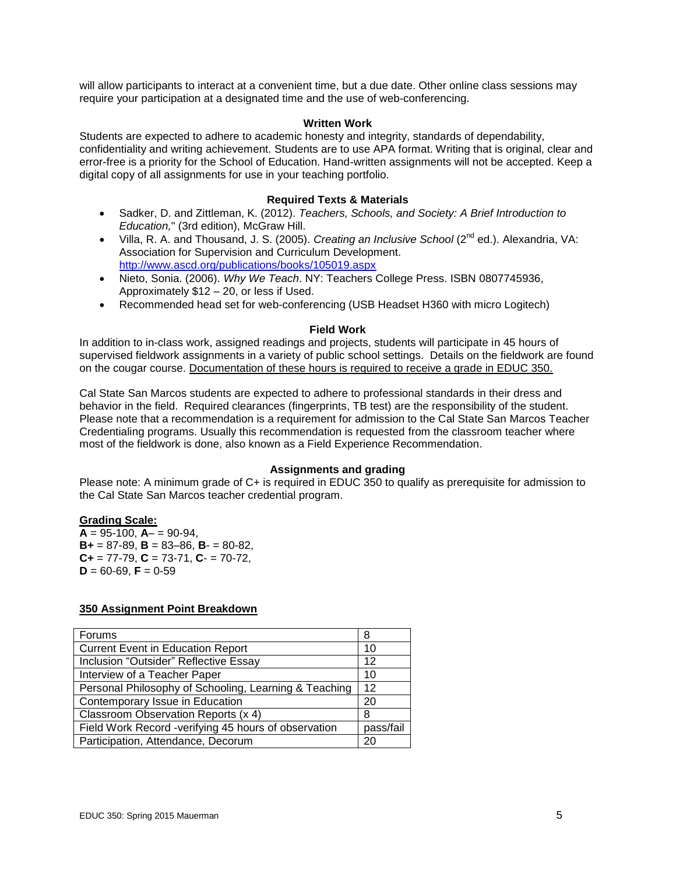will allow participants to interact at a convenient time, but a due date. Other online class sessions may require your participation at a designated time and the use of web-conferencing.

### **Written Work**

Students are expected to adhere to academic honesty and integrity, standards of dependability, confidentiality and writing achievement. Students are to use APA format. Writing that is original, clear and error-free is a priority for the School of Education. Hand-written assignments will not be accepted. Keep a digital copy of all assignments for use in your teaching portfolio.

### **Required Texts & Materials**

- Sadker, D. and Zittleman, K. (2012). *Teachers, Schools, and Society: A Brief Introduction to Education,*" (3rd edition), McGraw Hill.
- Villa, R. A. and Thousand, J. S. (2005). *Creating an Inclusive School* (2nd ed.). Alexandria, VA: Association for Supervision and Curriculum Development. <http://www.ascd.org/publications/books/105019.aspx>
- Nieto, Sonia. (2006). *Why We Teach*. NY: Teachers College Press. ISBN 0807745936, Approximately \$12 – 20, or less if Used.
- Recommended head set for web-conferencing (USB Headset H360 with micro Logitech)

### **Field Work**

In addition to in-class work, assigned readings and projects, students will participate in 45 hours of supervised fieldwork assignments in a variety of public school settings. Details on the fieldwork are found on the cougar course. Documentation of these hours is required to receive a grade in EDUC 350.

Cal State San Marcos students are expected to adhere to professional standards in their dress and behavior in the field. Required clearances (fingerprints, TB test) are the responsibility of the student. Please note that a recommendation is a requirement for admission to the Cal State San Marcos Teacher Credentialing programs. Usually this recommendation is requested from the classroom teacher where most of the fieldwork is done, also known as a Field Experience Recommendation.

## **Assignments and grading**

Please note: A minimum grade of C+ is required in EDUC 350 to qualify as prerequisite for admission to the Cal State San Marcos teacher credential program.

## **Grading Scale:**

 $A = 95-100$ ,  $A - 90-94$ , **B+** = 87-89, **B** = 83–86, **B**- = 80-82, **C+** = 77-79, **C** = 73-71, **C**- = 70-72,  $D = 60 - 69$ ,  $F = 0 - 59$ 

## **350 Assignment Point Breakdown**

| <b>Forums</b>                                         | 8         |
|-------------------------------------------------------|-----------|
| <b>Current Event in Education Report</b>              | 10        |
| Inclusion "Outsider" Reflective Essay                 | 12        |
| Interview of a Teacher Paper                          | 10        |
| Personal Philosophy of Schooling, Learning & Teaching | 12        |
| Contemporary Issue in Education                       | 20        |
| Classroom Observation Reports (x 4)                   | 8         |
| Field Work Record -verifying 45 hours of observation  | pass/fail |
| Participation, Attendance, Decorum                    | 20        |
|                                                       |           |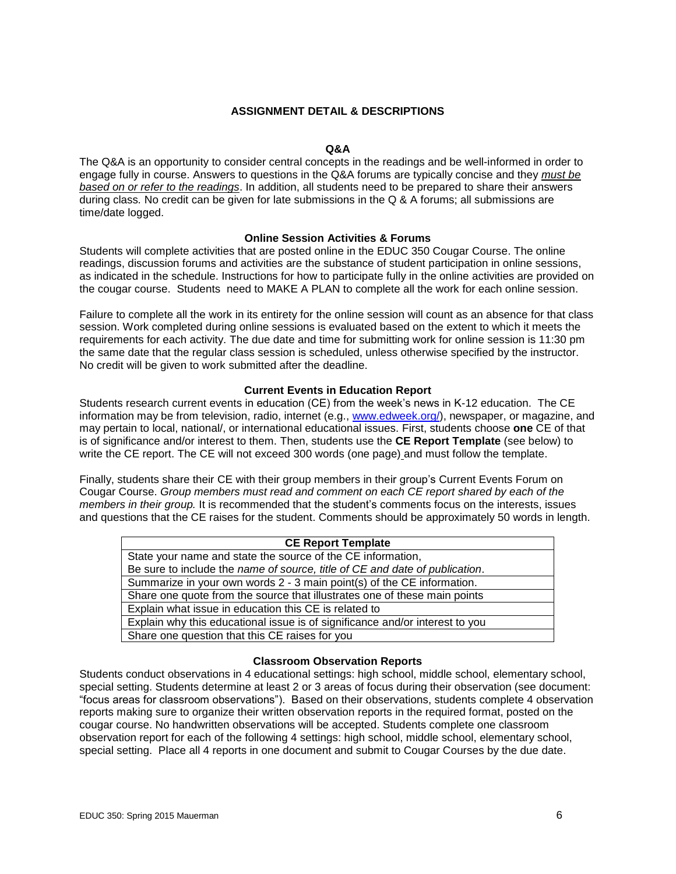## **ASSIGNMENT DETAIL & DESCRIPTIONS**

### **Q&A**

The Q&A is an opportunity to consider central concepts in the readings and be well-informed in order to engage fully in course. Answers to questions in the Q&A forums are typically concise and they *must be based on or refer to the readings*. In addition, all students need to be prepared to share their answers during class*.* No credit can be given for late submissions in the Q & A forums; all submissions are time/date logged.

## **Online Session Activities & Forums**

Students will complete activities that are posted online in the EDUC 350 Cougar Course. The online readings, discussion forums and activities are the substance of student participation in online sessions, as indicated in the schedule. Instructions for how to participate fully in the online activities are provided on the cougar course. Students need to MAKE A PLAN to complete all the work for each online session.

Failure to complete all the work in its entirety for the online session will count as an absence for that class session. Work completed during online sessions is evaluated based on the extent to which it meets the requirements for each activity. The due date and time for submitting work for online session is 11:30 pm the same date that the regular class session is scheduled, unless otherwise specified by the instructor. No credit will be given to work submitted after the deadline.

#### **Current Events in Education Report**

Students research current events in education (CE) from the week's news in K-12 education. The CE information may be from television, radio, internet (e.g., [www.edweek.org/\)](http://www.edweek.org/), newspaper, or magazine, and may pertain to local, national/, or international educational issues. First, students choose **one** CE of that is of significance and/or interest to them. Then, students use the **CE Report Template** (see below) to write the CE report. The CE will not exceed 300 words (one page) and must follow the template.

Finally, students share their CE with their group members in their group's Current Events Forum on Cougar Course. *Group members must read and comment on each CE report shared by each of the members in their group.* It is recommended that the student's comments focus on the interests, issues and questions that the CE raises for the student. Comments should be approximately 50 words in length.

| <b>CE Report Template</b>                                                    |
|------------------------------------------------------------------------------|
| State your name and state the source of the CE information,                  |
| Be sure to include the name of source, title of CE and date of publication.  |
| Summarize in your own words 2 - 3 main point(s) of the CE information.       |
| Share one quote from the source that illustrates one of these main points    |
| Explain what issue in education this CE is related to                        |
| Explain why this educational issue is of significance and/or interest to you |
| Share one question that this CE raises for you                               |

#### **Classroom Observation Reports**

Students conduct observations in 4 educational settings: high school, middle school, elementary school, special setting. Students determine at least 2 or 3 areas of focus during their observation (see document: "focus areas for classroom observations"). Based on their observations, students complete 4 observation reports making sure to organize their written observation reports in the required format, posted on the cougar course. No handwritten observations will be accepted. Students complete one classroom observation report for each of the following 4 settings: high school, middle school, elementary school, special setting. Place all 4 reports in one document and submit to Cougar Courses by the due date.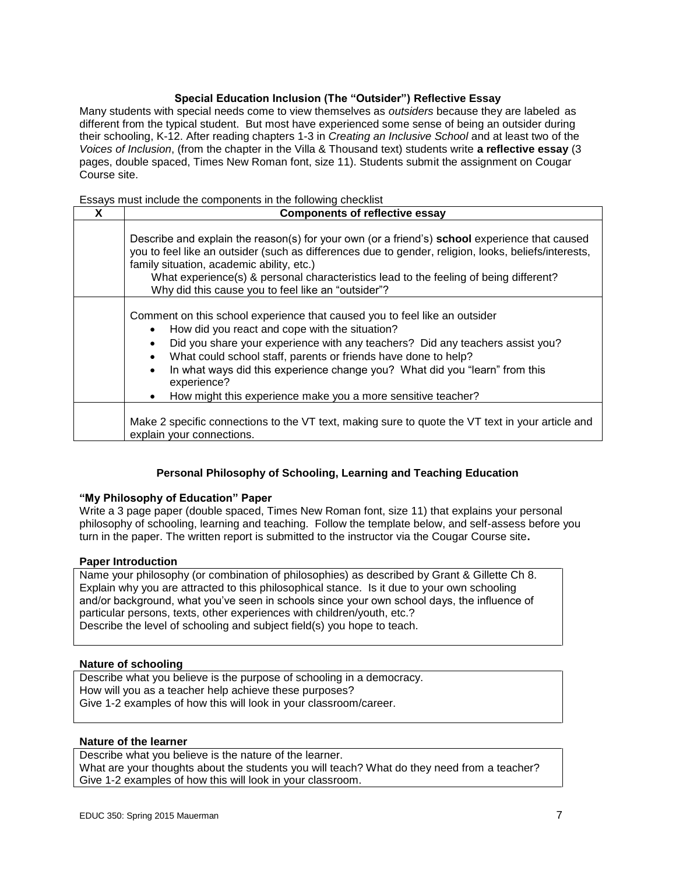## **Special Education Inclusion (The "Outsider") Reflective Essay**

Many students with special needs come to view themselves as *outsiders* because they are labeled as different from the typical student. But most have experienced some sense of being an outsider during their schooling, K-12. After reading chapters 1-3 in *Creating an Inclusive School* and at least two of the *Voices of Inclusion*, (from the chapter in the Villa & Thousand text) students write **a reflective essay** (3 pages, double spaced, Times New Roman font, size 11). Students submit the assignment on Cougar Course site.

## Essays must include the components in the following checklist

| X | <b>Components of reflective essay</b>                                                                                                                                                                                                                                                                                                                                                                                                         |  |
|---|-----------------------------------------------------------------------------------------------------------------------------------------------------------------------------------------------------------------------------------------------------------------------------------------------------------------------------------------------------------------------------------------------------------------------------------------------|--|
|   | Describe and explain the reason(s) for your own (or a friend's) school experience that caused<br>you to feel like an outsider (such as differences due to gender, religion, looks, beliefs/interests,<br>family situation, academic ability, etc.)<br>What experience(s) & personal characteristics lead to the feeling of being different?<br>Why did this cause you to feel like an "outsider"?                                             |  |
|   | Comment on this school experience that caused you to feel like an outsider<br>How did you react and cope with the situation?<br>Did you share your experience with any teachers? Did any teachers assist you?<br>What could school staff, parents or friends have done to help?<br>In what ways did this experience change you? What did you "learn" from this<br>experience?<br>How might this experience make you a more sensitive teacher? |  |
|   | Make 2 specific connections to the VT text, making sure to quote the VT text in your article and<br>explain your connections.                                                                                                                                                                                                                                                                                                                 |  |

# **Personal Philosophy of Schooling, Learning and Teaching Education**

## **"My Philosophy of Education" Paper**

Write a 3 page paper (double spaced, Times New Roman font, size 11) that explains your personal philosophy of schooling, learning and teaching. Follow the template below, and self-assess before you turn in the paper. The written report is submitted to the instructor via the Cougar Course site**.**

## **Paper Introduction**

Name your philosophy (or combination of philosophies) as described by Grant & Gillette Ch 8. Explain why you are attracted to this philosophical stance. Is it due to your own schooling and/or background, what you've seen in schools since your own school days, the influence of particular persons, texts, other experiences with children/youth, etc.? Describe the level of schooling and subject field(s) you hope to teach.

#### **Nature of schooling**

Describe what you believe is the purpose of schooling in a democracy. How will you as a teacher help achieve these purposes? Give 1-2 examples of how this will look in your classroom/career.

#### **Nature of the learner**

Describe what you believe is the nature of the learner. What are your thoughts about the students you will teach? What do they need from a teacher? Give 1-2 examples of how this will look in your classroom.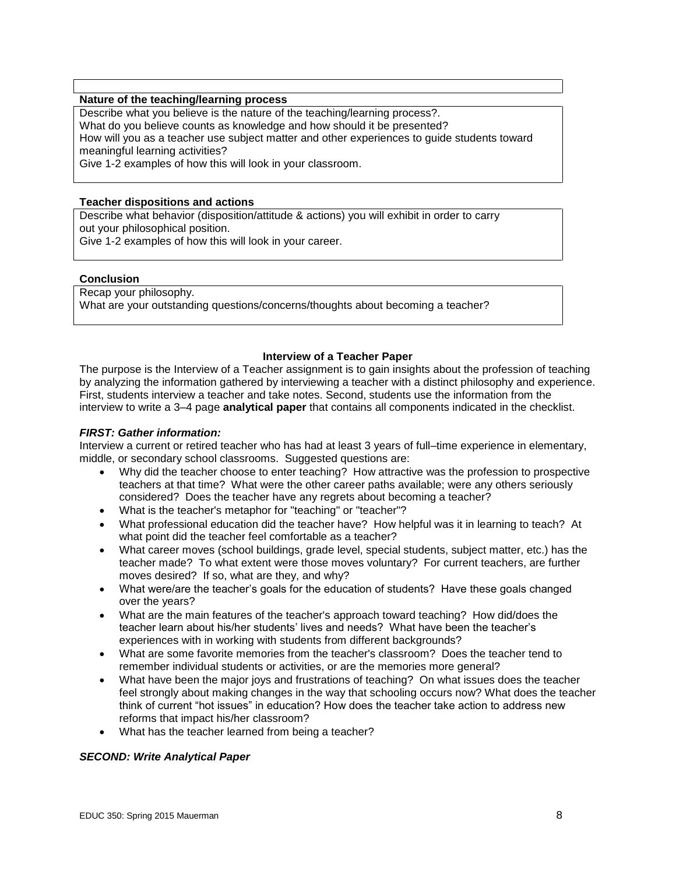## **Nature of the teaching/learning process**

Describe what you believe is the nature of the teaching/learning process?.

What do you believe counts as knowledge and how should it be presented?

How will you as a teacher use subject matter and other experiences to guide students toward meaningful learning activities?

Give 1-2 examples of how this will look in your classroom.

## **Teacher dispositions and actions**

Describe what behavior (disposition/attitude & actions) you will exhibit in order to carry out your philosophical position.

Give 1-2 examples of how this will look in your career.

### **Conclusion**

Recap your philosophy. What are your outstanding questions/concerns/thoughts about becoming a teacher?

### **Interview of a Teacher Paper**

The purpose is the Interview of a Teacher assignment is to gain insights about the profession of teaching by analyzing the information gathered by interviewing a teacher with a distinct philosophy and experience. First, students interview a teacher and take notes. Second, students use the information from the interview to write a 3–4 page **analytical paper** that contains all components indicated in the checklist.

## *FIRST: Gather information:*

Interview a current or retired teacher who has had at least 3 years of full–time experience in elementary, middle, or secondary school classrooms. Suggested questions are:

- Why did the teacher choose to enter teaching? How attractive was the profession to prospective teachers at that time? What were the other career paths available; were any others seriously considered? Does the teacher have any regrets about becoming a teacher?
- What is the teacher's metaphor for "teaching" or "teacher"?
- What professional education did the teacher have? How helpful was it in learning to teach? At what point did the teacher feel comfortable as a teacher?
- What career moves (school buildings, grade level, special students, subject matter, etc.) has the teacher made? To what extent were those moves voluntary? For current teachers, are further moves desired? If so, what are they, and why?
- What were/are the teacher's goals for the education of students? Have these goals changed over the years?
- What are the main features of the teacher's approach toward teaching? How did/does the teacher learn about his/her students' lives and needs? What have been the teacher's experiences with in working with students from different backgrounds?
- What are some favorite memories from the teacher's classroom? Does the teacher tend to remember individual students or activities, or are the memories more general?
- What have been the major joys and frustrations of teaching? On what issues does the teacher feel strongly about making changes in the way that schooling occurs now? What does the teacher think of current "hot issues" in education? How does the teacher take action to address new reforms that impact his/her classroom?
- What has the teacher learned from being a teacher?

## *SECOND: Write Analytical Paper*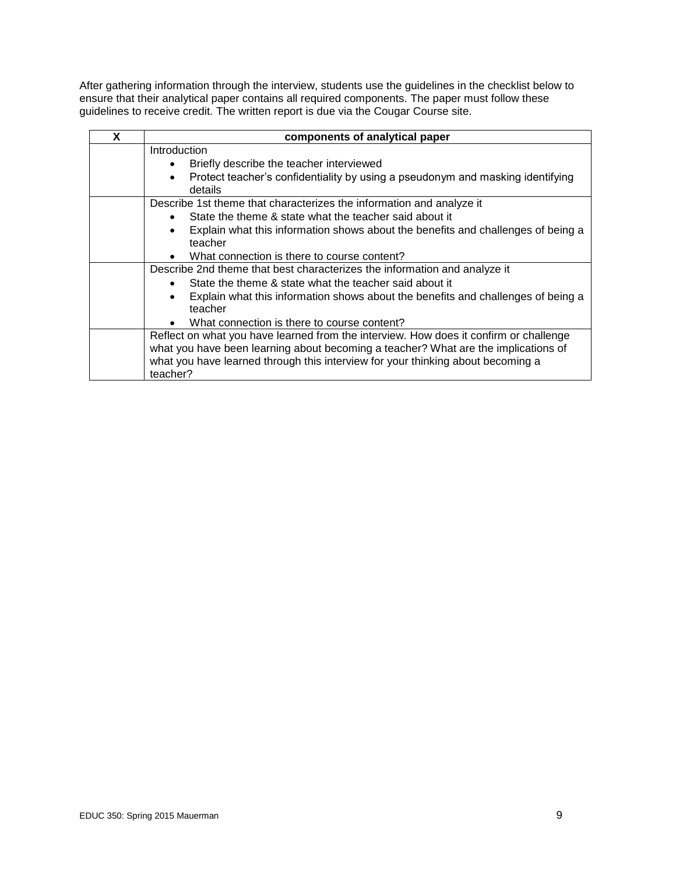After gathering information through the interview, students use the guidelines in the checklist below to ensure that their analytical paper contains all required components. The paper must follow these guidelines to receive credit. The written report is due via the Cougar Course site.

| x | components of analytical paper                                                                           |  |  |
|---|----------------------------------------------------------------------------------------------------------|--|--|
|   | Introduction                                                                                             |  |  |
|   | Briefly describe the teacher interviewed                                                                 |  |  |
|   | Protect teacher's confidentiality by using a pseudonym and masking identifying<br>$\bullet$<br>details   |  |  |
|   | Describe 1st theme that characterizes the information and analyze it                                     |  |  |
|   | State the theme & state what the teacher said about it<br>$\bullet$                                      |  |  |
|   | Explain what this information shows about the benefits and challenges of being a<br>$\bullet$<br>teacher |  |  |
|   | What connection is there to course content?<br>$\bullet$                                                 |  |  |
|   | Describe 2nd theme that best characterizes the information and analyze it                                |  |  |
|   | State the theme & state what the teacher said about it<br>$\bullet$                                      |  |  |
|   | Explain what this information shows about the benefits and challenges of being a<br>teacher              |  |  |
|   | What connection is there to course content?                                                              |  |  |
|   | Reflect on what you have learned from the interview. How does it confirm or challenge                    |  |  |
|   | what you have been learning about becoming a teacher? What are the implications of                       |  |  |
|   | what you have learned through this interview for your thinking about becoming a                          |  |  |
|   | teacher?                                                                                                 |  |  |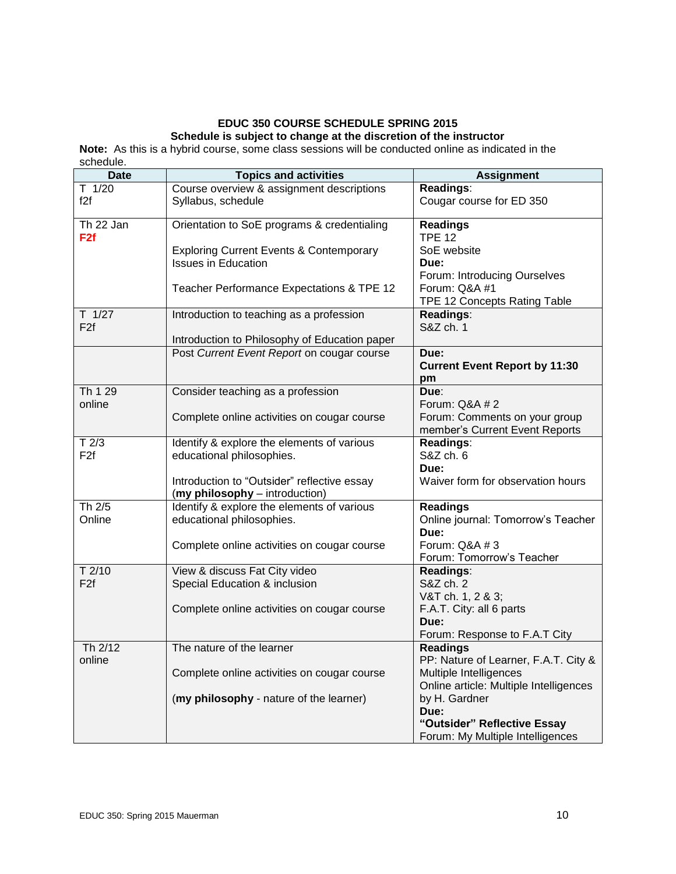# **EDUC 350 COURSE SCHEDULE SPRING 2015 Schedule is subject to change at the discretion of the instructor**

**Note:** As this is a hybrid course, some class sessions will be conducted online as indicated in the schedule.

| <b>Date</b>                  | <b>Topics and activities</b>                                            | <b>Assignment</b>                                                |
|------------------------------|-------------------------------------------------------------------------|------------------------------------------------------------------|
| $T$ 1/20                     | Course overview & assignment descriptions                               | Readings:                                                        |
| f2f                          | Syllabus, schedule                                                      | Cougar course for ED 350                                         |
| Th 22 Jan<br>F <sub>2f</sub> | Orientation to SoE programs & credentialing                             | <b>Readings</b><br><b>TPE 12</b>                                 |
|                              | <b>Exploring Current Events &amp; Contemporary</b>                      | SoE website                                                      |
|                              | <b>Issues in Education</b>                                              | Due:                                                             |
|                              |                                                                         | Forum: Introducing Ourselves                                     |
|                              | Teacher Performance Expectations & TPE 12                               | Forum: Q&A #1                                                    |
|                              |                                                                         | TPE 12 Concepts Rating Table                                     |
| $T$ 1/27                     | Introduction to teaching as a profession                                | Readings:                                                        |
| F <sub>2f</sub>              |                                                                         | S&Z ch. 1                                                        |
|                              | Introduction to Philosophy of Education paper                           |                                                                  |
|                              | Post Current Event Report on cougar course                              | Due:<br><b>Current Event Report by 11:30</b>                     |
|                              |                                                                         | pm                                                               |
| Th 1 29                      | Consider teaching as a profession                                       | Due:                                                             |
| online                       |                                                                         | Forum: Q&A # 2                                                   |
|                              | Complete online activities on cougar course                             | Forum: Comments on your group                                    |
|                              |                                                                         | member's Current Event Reports                                   |
| T2/3<br>F <sub>2f</sub>      | Identify & explore the elements of various<br>educational philosophies. | Readings:<br>S&Z ch. 6                                           |
|                              |                                                                         | Due:                                                             |
|                              | Introduction to "Outsider" reflective essay                             | Waiver form for observation hours                                |
|                              | (my philosophy - introduction)                                          |                                                                  |
| Th 2/5                       | Identify & explore the elements of various                              | <b>Readings</b>                                                  |
| Online                       | educational philosophies.                                               | Online journal: Tomorrow's Teacher                               |
|                              |                                                                         | Due:                                                             |
|                              | Complete online activities on cougar course                             | Forum: Q&A # 3                                                   |
| $T$ 2/10                     | View & discuss Fat City video                                           | Forum: Tomorrow's Teacher<br>Readings:                           |
| F <sub>2f</sub>              | Special Education & inclusion                                           | S&Z ch. 2                                                        |
|                              |                                                                         | V&T ch. 1, 2 & 3;                                                |
|                              | Complete online activities on cougar course                             | F.A.T. City: all 6 parts                                         |
|                              |                                                                         | Due:                                                             |
|                              |                                                                         | Forum: Response to F.A.T City                                    |
| Th 2/12                      | The nature of the learner                                               | <b>Readings</b>                                                  |
| online                       |                                                                         | PP: Nature of Learner, F.A.T. City &                             |
|                              | Complete online activities on cougar course                             | Multiple Intelligences<br>Online article: Multiple Intelligences |
|                              | (my philosophy - nature of the learner)                                 | by H. Gardner                                                    |
|                              |                                                                         | Due:                                                             |
|                              |                                                                         | "Outsider" Reflective Essay                                      |
|                              |                                                                         | Forum: My Multiple Intelligences                                 |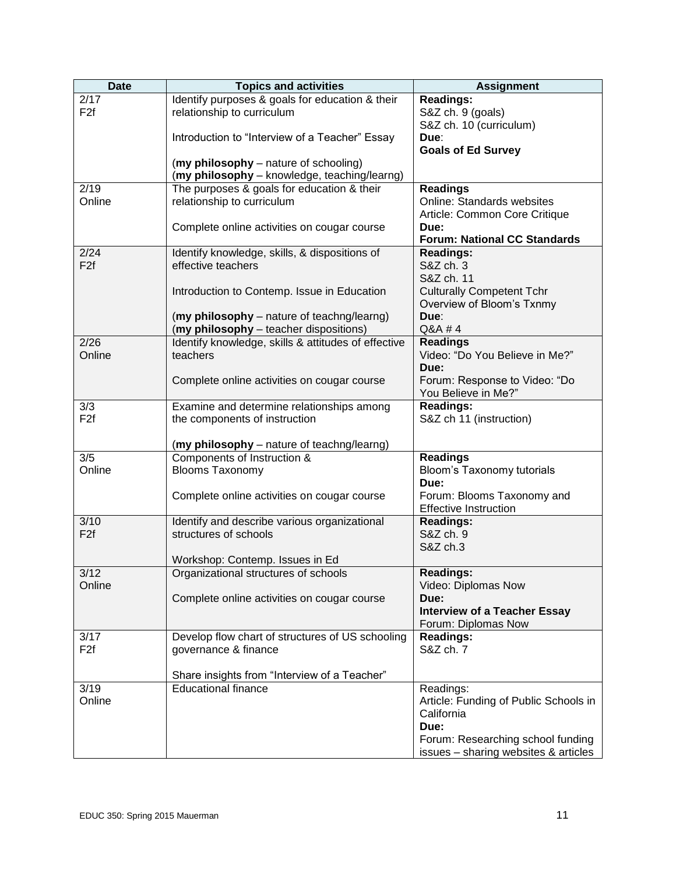| <b>Date</b>     | <b>Topics and activities</b>                                              | <b>Assignment</b>                           |
|-----------------|---------------------------------------------------------------------------|---------------------------------------------|
| 2/17            | Identify purposes & goals for education & their                           | <b>Readings:</b>                            |
| F <sub>2f</sub> | relationship to curriculum                                                | S&Z ch. 9 (goals)                           |
|                 |                                                                           | S&Z ch. 10 (curriculum)                     |
|                 | Introduction to "Interview of a Teacher" Essay                            | Due:                                        |
|                 |                                                                           | <b>Goals of Ed Survey</b>                   |
|                 | (my philosophy - nature of schooling)                                     |                                             |
|                 | (my philosophy - knowledge, teaching/learng)                              |                                             |
| 2/19            | The purposes & goals for education & their                                | <b>Readings</b>                             |
| Online          | relationship to curriculum                                                | <b>Online: Standards websites</b>           |
|                 |                                                                           | Article: Common Core Critique               |
|                 | Complete online activities on cougar course                               | Due:<br><b>Forum: National CC Standards</b> |
| 2/24            | Identify knowledge, skills, & dispositions of                             | <b>Readings:</b>                            |
| F <sub>2f</sub> | effective teachers                                                        | S&Z ch. 3                                   |
|                 |                                                                           | S&Z ch. 11                                  |
|                 | Introduction to Contemp. Issue in Education                               | <b>Culturally Competent Tchr</b>            |
|                 |                                                                           | Overview of Bloom's Txnmy                   |
|                 | (my philosophy - nature of teachng/learng)                                | Due:                                        |
|                 | (my philosophy - teacher dispositions)                                    | Q&A #4                                      |
| 2/26            | Identify knowledge, skills & attitudes of effective                       | <b>Readings</b>                             |
| Online          | teachers                                                                  | Video: "Do You Believe in Me?"              |
|                 |                                                                           | Due:                                        |
|                 | Complete online activities on cougar course                               | Forum: Response to Video: "Do               |
|                 |                                                                           | You Believe in Me?"                         |
| 3/3             | Examine and determine relationships among                                 | <b>Readings:</b>                            |
| F <sub>2f</sub> | the components of instruction                                             | S&Z ch 11 (instruction)                     |
|                 |                                                                           |                                             |
| 3/5             | (my philosophy - nature of teachng/learng)<br>Components of Instruction & | <b>Readings</b>                             |
| Online          | <b>Blooms Taxonomy</b>                                                    | Bloom's Taxonomy tutorials                  |
|                 |                                                                           | Due:                                        |
|                 | Complete online activities on cougar course                               | Forum: Blooms Taxonomy and                  |
|                 |                                                                           | <b>Effective Instruction</b>                |
| 3/10            | Identify and describe various organizational                              | <b>Readings:</b>                            |
| F <sub>2f</sub> | structures of schools                                                     | S&Z ch. 9                                   |
|                 |                                                                           | S&Z ch.3                                    |
|                 | Workshop: Contemp. Issues in Ed                                           |                                             |
| 3/12            | Organizational structures of schools                                      | <b>Readings:</b>                            |
| Online          |                                                                           | Video: Diplomas Now                         |
|                 | Complete online activities on cougar course                               | Due:                                        |
|                 |                                                                           | <b>Interview of a Teacher Essay</b>         |
| 3/17            | Develop flow chart of structures of US schooling                          | Forum: Diplomas Now<br><b>Readings:</b>     |
| F <sub>2f</sub> | governance & finance                                                      | S&Z ch. 7                                   |
|                 |                                                                           |                                             |
|                 | Share insights from "Interview of a Teacher"                              |                                             |
| 3/19            | <b>Educational finance</b>                                                | Readings:                                   |
| Online          |                                                                           | Article: Funding of Public Schools in       |
|                 |                                                                           | California                                  |
|                 |                                                                           | Due:                                        |
|                 |                                                                           | Forum: Researching school funding           |
|                 |                                                                           | issues - sharing websites & articles        |